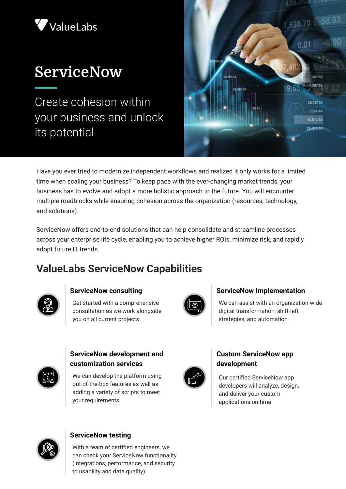

# **ServiceNow**

Create cohesion within your business and unlock its potential



Have you ever tried to modernize independent workflows and realized it only works for a limited time when scaling your business? To keep pace with the ever-changing market trends, your business has to evolve and adopt a more holistic approach to the future. You will encounter multiple roadblocks while ensuring cohesion across the organization (resources, technology, and solutions).

ServiceNow offers end-to-end solutions that can help consolidate and streamline processes across your enterprise life cycle, enabling you to achieve higher ROIs, minimize risk, and rapidly adopt future IT trends.

### **ValueLabs ServiceNow Capabilities**



#### **ServiceNow consulting**

Get started with a comprehensive consultation as we work alongside you on all current projects



#### **ServiceNow Implementation**

We can assist with an organization-wide digital transformation, shift-left strategies, and automation



#### **ServiceNow development and customization services**

We can develop the platform using out-of-the-box features as well as adding a variety of scripts to meet your requirements



#### **Custom ServiceNow app development**

Our certified ServiceNow app developers will analyze, design, and deliver your custom applications on time



#### **ServiceNow testing**

With a team of certified engineers, we can check your ServiceNow functionality (integrations, performance, and security to usability and data quality)